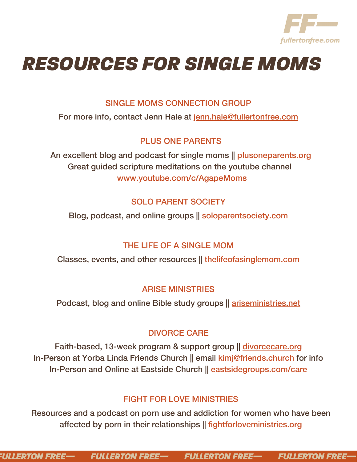

# *RESOURCES FOR SINGLE MOMS*

## SINGLE MOMS CONNECTION GROUP

For more info, contact Jenn Hale at [jenn.hale@fullertonfree.com](mailto:jenn.hale@fullertonfree.com)

## PLUS ONE PARENTS

An excellent blog and podcast for single moms || plusoneparents.org Great guided scripture meditations on the youtube channel www.youtube.com/c/AgapeMoms

# SOLO PARENT SOCIETY

Blog, podcast, and online groups || [soloparentsociety.com](http://soloparentsociety.com/)

# THE LIFE OF A SINGLE MOM

Classes, events, and other resources || [thelifeofasinglemom.com](http://thelifeofasinglemom.com/)

## ARISE MINISTRIES

Podcast, blog and online Bible study groups || [ariseministries.net](http://ariseministries.net/)

# DIVORCE CARE

Faith-based, 13-week program & support group || [divorcecare.org](http://divorcecare.org/) In-Person at Yorba Linda Friends Church || email kimj@friends.church for info In-Person and Online at Eastside Church || [eastsidegroups.com/care](http://eastsidegroups.com/care)

# FIGHT FOR LOVE MINISTRIES

Resources and a podcast on porn use and addiction for women who have been affected by porn in their relationships || [fightforloveministries.org](https://fightforloveministries.org/)